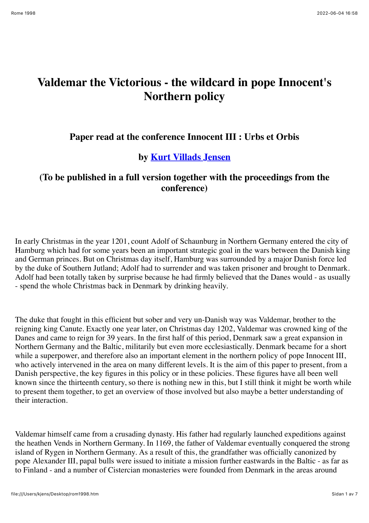## **Valdemar the Victorious - the wildcard in pope Innocent's Northern policy**

## **Paper read at the conference Innocent III : Urbs et Orbis**

## **by Kurt Villads Jensen**

## **(To be published in a full version together with the proceedings from the conference)**

In early Christmas in the year 1201, count Adolf of Schaunburg in Northern Germany entered the city of Hamburg which had for some years been an important strategic goal in the wars between the Danish king and German princes. But on Christmas day itself, Hamburg was surrounded by a major Danish force led by the duke of Southern Jutland; Adolf had to surrender and was taken prisoner and brought to Denmark. Adolf had been totally taken by surprise because he had firmly believed that the Danes would - as usually - spend the whole Christmas back in Denmark by drinking heavily.

The duke that fought in this efficient but sober and very un-Danish way was Valdemar, brother to the reigning king Canute. Exactly one year later, on Christmas day 1202, Valdemar was crowned king of the Danes and came to reign for 39 years. In the first half of this period, Denmark saw a great expansion in Northern Germany and the Baltic, militarily but even more ecclesiastically. Denmark became for a short while a superpower, and therefore also an important element in the northern policy of pope Innocent III, who actively intervened in the area on many different levels. It is the aim of this paper to present, from a Danish perspective, the key figures in this policy or in these policies. These figures have all been well known since the thirteenth century, so there is nothing new in this, but I still think it might be worth while to present them together, to get an overview of those involved but also maybe a better understanding of their interaction.

Valdemar himself came from a crusading dynasty. His father had regularly launched expeditions against the heathen Vends in Northern Germany. In 1169, the father of Valdemar eventually conquered the strong island of Rygen in Northern Germany. As a result of this, the grandfather was officially canonized by pope Alexander III, papal bulls were issued to initiate a mission further eastwards in the Baltic - as far as to Finland - and a number of Cistercian monasteries were founded from Denmark in the areas around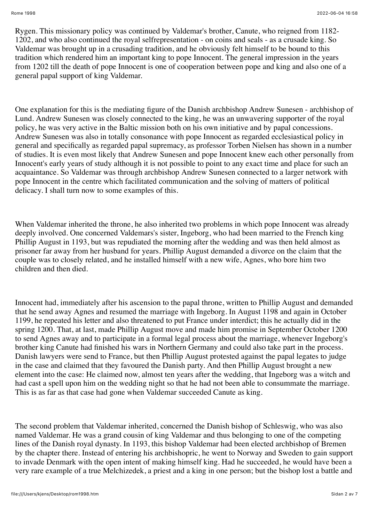Rygen. This missionary policy was continued by Valdemar's brother, Canute, who reigned from 1182- 1202, and who also continued the royal selfrepresentation - on coins and seals - as a crusade king. So Valdemar was brought up in a crusading tradition, and he obviously felt himself to be bound to this tradition which rendered him an important king to pope Innocent. The general impression in the years from 1202 till the death of pope Innocent is one of cooperation between pope and king and also one of a general papal support of king Valdemar.

One explanation for this is the mediating figure of the Danish archbishop Andrew Sunesen - archbishop of Lund. Andrew Sunesen was closely connected to the king, he was an unwavering supporter of the royal policy, he was very active in the Baltic mission both on his own initiative and by papal concessions. Andrew Sunesen was also in totally consonance with pope Innocent as regarded ecclesiastical policy in general and specifically as regarded papal supremacy, as professor Torben Nielsen has shown in a number of studies. It is even most likely that Andrew Sunesen and pope Innocent knew each other personally from Innocent's early years of study although it is not possible to point to any exact time and place for such an acquaintance. So Valdemar was through archbishop Andrew Sunesen connected to a larger network with pope Innocent in the centre which facilitated communication and the solving of matters of political delicacy. I shall turn now to some examples of this.

When Valdemar inherited the throne, he also inherited two problems in which pope Innocent was already deeply involved. One concerned Valdemars's sister, Ingeborg, who had been married to the French king Phillip August in 1193, but was repudiated the morning after the wedding and was then held almost as prisoner far away from her husband for years. Phillip August demanded a divorce on the claim that the couple was to closely related, and he installed himself with a new wife, Agnes, who bore him two children and then died.

Innocent had, immediately after his ascension to the papal throne, written to Phillip August and demanded that he send away Agnes and resumed the marriage with Ingeborg. In August 1198 and again in October 1199, he repeated his letter and also threatened to put France under interdict; this he actually did in the spring 1200. That, at last, made Phillip August move and made him promise in September October 1200 to send Agnes away and to participate in a formal legal process about the marriage, whenever Ingeborg's brother king Canute had finished his wars in Northern Germany and could also take part in the process. Danish lawyers were send to France, but then Phillip August protested against the papal legates to judge in the case and claimed that they favoured the Danish party. And then Phillip August brought a new element into the case: He claimed now, almost ten years after the wedding, that Ingeborg was a witch and had cast a spell upon him on the wedding night so that he had not been able to consummate the marriage. This is as far as that case had gone when Valdemar succeeded Canute as king.

The second problem that Valdemar inherited, concerned the Danish bishop of Schleswig, who was also named Valdemar. He was a grand cousin of king Valdemar and thus belonging to one of the competing lines of the Danish royal dynasty. In 1193, this bishop Valdemar had been elected archbishop of Bremen by the chapter there. Instead of entering his archbishopric, he went to Norway and Sweden to gain support to invade Denmark with the open intent of making himself king. Had he succeeded, he would have been a very rare example of a true Melchizedek, a priest and a king in one person; but the bishop lost a battle and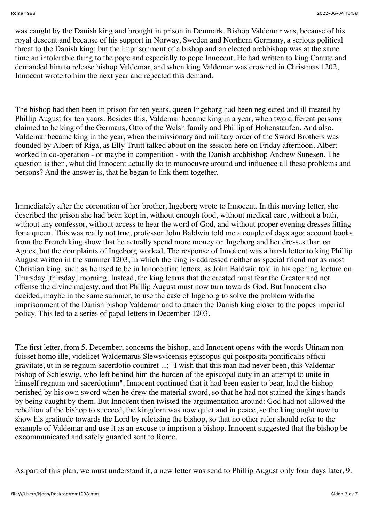was caught by the Danish king and brought in prison in Denmark. Bishop Valdemar was, because of his royal descent and because of his support in Norway, Sweden and Northern Germany, a serious political threat to the Danish king; but the imprisonment of a bishop and an elected archbishop was at the same time an intolerable thing to the pope and especially to pope Innocent. He had written to king Canute and demanded him to release bishop Valdemar, and when king Valdemar was crowned in Christmas 1202, Innocent wrote to him the next year and repeated this demand.

The bishop had then been in prison for ten years, queen Ingeborg had been neglected and ill treated by Phillip August for ten years. Besides this, Valdemar became king in a year, when two different persons claimed to be king of the Germans, Otto of the Welsh family and Phillip of Hohenstaufen. And also, Valdemar became king in the year, when the missionary and military order of the Sword Brothers was founded by Albert of Riga, as Elly Truitt talked about on the session here on Friday afternoon. Albert worked in co-operation - or maybe in competition - with the Danish archbishop Andrew Sunesen. The question is then, what did Innocent actually do to manoeuvre around and influence all these problems and persons? And the answer is, that he began to link them together.

Immediately after the coronation of her brother, Ingeborg wrote to Innocent. In this moving letter, she described the prison she had been kept in, without enough food, without medical care, without a bath, without any confessor, without access to hear the word of God, and without proper evening dresses fitting for a queen. This was really not true, professor John Baldwin told me a couple of days ago; account books from the French king show that he actually spend more money on Ingeborg and her dresses than on Agnes, but the complaints of Ingeborg worked. The response of Innocent was a harsh letter to king Phillip August written in the summer 1203, in which the king is addressed neither as special friend nor as most Christian king, such as he used to be in Innocentian letters, as John Baldwin told in his opening lecture on Thursday [thirsday] morning. Instead, the king learns that the created must fear the Creator and not offense the divine majesty, and that Phillip August must now turn towards God. But Innocent also decided, maybe in the same summer, to use the case of Ingeborg to solve the problem with the imprisonment of the Danish bishop Valdemar and to attach the Danish king closer to the popes imperial policy. This led to a series of papal letters in December 1203.

The first letter, from 5. December, concerns the bishop, and Innocent opens with the words Utinam non fuisset homo ille, videlicet Waldemarus Slewsvicensis episcopus qui postposita pontificalis officii gravitate, ut in se regnum sacerdotio couniret ...; "I wish that this man had never been, this Valdemar bishop of Schleswig, who left behind him the burden of the episcopal duty in an attempt to unite in himself regnum and sacerdotium". Innocent continued that it had been easier to bear, had the bishop perished by his own sword when he drew the material sword, so that he had not stained the king's hands by being caught by them. But Innocent then twisted the argumentation around: God had not allowed the rebellion of the bishop to succeed, the kingdom was now quiet and in peace, so the king ought now to show his gratitude towards the Lord by releasing the bishop, so that no other ruler should refer to the example of Valdemar and use it as an excuse to imprison a bishop. Innocent suggested that the bishop be excommunicated and safely guarded sent to Rome.

As part of this plan, we must understand it, a new letter was send to Phillip August only four days later, 9.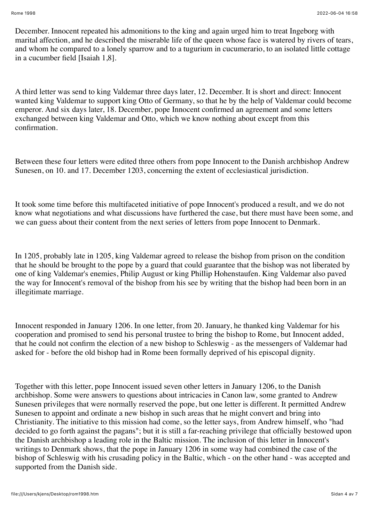December. Innocent repeated his admonitions to the king and again urged him to treat Ingeborg with marital affection, and he described the miserable life of the queen whose face is watered by rivers of tears, and whom he compared to a lonely sparrow and to a tugurium in cucumerario, to an isolated little cottage in a cucumber field [Isaiah 1,8].

A third letter was send to king Valdemar three days later, 12. December. It is short and direct: Innocent wanted king Valdemar to support king Otto of Germany, so that he by the help of Valdemar could become emperor. And six days later, 18. December, pope Innocent confirmed an agreement and some letters exchanged between king Valdemar and Otto, which we know nothing about except from this confirmation.

Between these four letters were edited three others from pope Innocent to the Danish archbishop Andrew Sunesen, on 10. and 17. December 1203, concerning the extent of ecclesiastical jurisdiction.

It took some time before this multifaceted initiative of pope Innocent's produced a result, and we do not know what negotiations and what discussions have furthered the case, but there must have been some, and we can guess about their content from the next series of letters from pope Innocent to Denmark.

In 1205, probably late in 1205, king Valdemar agreed to release the bishop from prison on the condition that he should be brought to the pope by a guard that could guarantee that the bishop was not liberated by one of king Valdemar's enemies, Philip August or king Phillip Hohenstaufen. King Valdemar also paved the way for Innocent's removal of the bishop from his see by writing that the bishop had been born in an illegitimate marriage.

Innocent responded in January 1206. In one letter, from 20. January, he thanked king Valdemar for his cooperation and promised to send his personal trustee to bring the bishop to Rome, but Innocent added, that he could not confirm the election of a new bishop to Schleswig - as the messengers of Valdemar had asked for - before the old bishop had in Rome been formally deprived of his episcopal dignity.

Together with this letter, pope Innocent issued seven other letters in January 1206, to the Danish archbishop. Some were answers to questions about intricacies in Canon law, some granted to Andrew Sunesen privileges that were normally reserved the pope, but one letter is different. It permitted Andrew Sunesen to appoint and ordinate a new bishop in such areas that he might convert and bring into Christianity. The initiative to this mission had come, so the letter says, from Andrew himself, who "had decided to go forth against the pagans"; but it is still a far-reaching privilege that officially bestowed upon the Danish archbishop a leading role in the Baltic mission. The inclusion of this letter in Innocent's writings to Denmark shows, that the pope in January 1206 in some way had combined the case of the bishop of Schleswig with his crusading policy in the Baltic, which - on the other hand - was accepted and supported from the Danish side.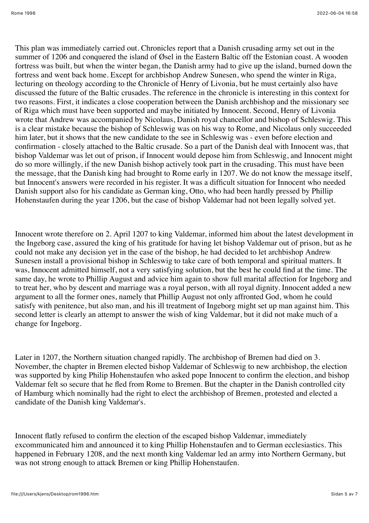This plan was immediately carried out. Chronicles report that a Danish crusading army set out in the summer of 1206 and conquered the island of Øsel in the Eastern Baltic off the Estonian coast. A wooden fortress was built, but when the winter began, the Danish army had to give up the island, burned down the fortress and went back home. Except for archbishop Andrew Sunesen, who spend the winter in Riga, lecturing on theology according to the Chronicle of Henry of Livonia, but he must certainly also have discussed the future of the Baltic crusades. The reference in the chronicle is interesting in this context for two reasons. First, it indicates a close cooperation between the Danish archbishop and the missionary see of Riga which must have been supported and maybe initiated by Innocent. Second, Henry of Livonia wrote that Andrew was accompanied by Nicolaus, Danish royal chancellor and bishop of Schleswig. This is a clear mistake because the bishop of Schleswig was on his way to Rome, and Nicolaus only succeeded him later, but it shows that the new candidate to the see in Schleswig was - even before election and confirmation - closely attached to the Baltic crusade. So a part of the Danish deal with Innocent was, that bishop Valdemar was let out of prison, if Innocent would depose him from Schleswig, and Innocent might do so more willingly, if the new Danish bishop actively took part in the crusading. This must have been the message, that the Danish king had brought to Rome early in 1207. We do not know the message itself, but Innocent's answers were recorded in his register. It was a difficult situation for Innocent who needed Danish support also for his candidate as German king, Otto, who had been hardly pressed by Phillip Hohenstaufen during the year 1206, but the case of bishop Valdemar had not been legally solved yet.

Innocent wrote therefore on 2. April 1207 to king Valdemar, informed him about the latest development in the Ingeborg case, assured the king of his gratitude for having let bishop Valdemar out of prison, but as he could not make any decision yet in the case of the bishop, he had decided to let archbishop Andrew Sunesen install a provisional bishop in Schleswig to take care of both temporal and spiritual matters. It was, Innocent admitted himself, not a very satisfying solution, but the best he could find at the time. The same day, he wrote to Phillip August and advice him again to show full marital affection for Ingeborg and to treat her, who by descent and marriage was a royal person, with all royal dignity. Innocent added a new argument to all the former ones, namely that Phillip August not only affronted God, whom he could satisfy with penitence, but also man, and his ill treatment of Ingeborg might set up man against him. This second letter is clearly an attempt to answer the wish of king Valdemar, but it did not make much of a change for Ingeborg.

Later in 1207, the Northern situation changed rapidly. The archbishop of Bremen had died on 3. November, the chapter in Bremen elected bishop Valdemar of Schleswig to new archbishop, the election was supported by king Philip Hohenstaufen who asked pope Innocent to confirm the election, and bishop Valdemar felt so secure that he fled from Rome to Bremen. But the chapter in the Danish controlled city of Hamburg which nominally had the right to elect the archbishop of Bremen, protested and elected a candidate of the Danish king Valdemar's.

Innocent flatly refused to confirm the election of the escaped bishop Valdemar, immediately excommunicated him and announced it to king Phillip Hohenstaufen and to German ecclesiastics. This happened in February 1208, and the next month king Valdemar led an army into Northern Germany, but was not strong enough to attack Bremen or king Phillip Hohenstaufen.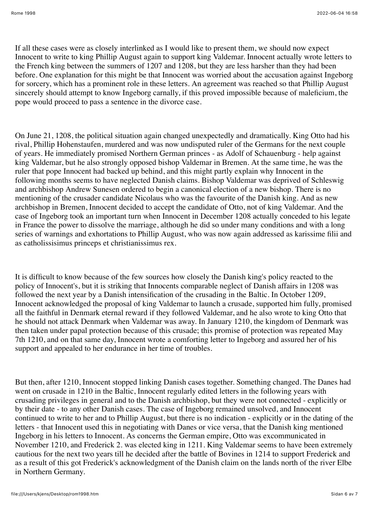If all these cases were as closely interlinked as I would like to present them, we should now expect Innocent to write to king Phillip August again to support king Valdemar. Innocent actually wrote letters to the French king between the summers of 1207 and 1208, but they are less harsher than they had been before. One explanation for this might be that Innocent was worried about the accusation against Ingeborg for sorcery, which has a prominent role in these letters. An agreement was reached so that Phillip August sincerely should attempt to know Ingeborg carnally, if this proved impossible because of maleficium, the pope would proceed to pass a sentence in the divorce case.

On June 21, 1208, the political situation again changed unexpectedly and dramatically. King Otto had his rival, Phillip Hohenstaufen, murdered and was now undisputed ruler of the Germans for the next couple of years. He immediately promised Northern German princes - as Adolf of Schauenburg - help against king Valdemar, but he also strongly opposed bishop Valdemar in Bremen. At the same time, he was the ruler that pope Innocent had backed up behind, and this might partly explain why Innocent in the following months seems to have neglected Danish claims. Bishop Valdemar was deprived of Schleswig and archbishop Andrew Sunesen ordered to begin a canonical election of a new bishop. There is no mentioning of the crusader candidate Nicolaus who was the favourite of the Danish king. And as new archbishop in Bremen, Innocent decided to accept the candidate of Otto, not of king Valdemar. And the case of Ingeborg took an important turn when Innocent in December 1208 actually conceded to his legate in France the power to dissolve the marriage, although he did so under many conditions and with a long series of warnings and exhortations to Phillip August, who was now again addressed as karissime filii and as catholissisimus princeps et christianissimus rex.

It is difficult to know because of the few sources how closely the Danish king's policy reacted to the policy of Innocent's, but it is striking that Innocents comparable neglect of Danish affairs in 1208 was followed the next year by a Danish intensification of the crusading in the Baltic. In October 1209, Innocent acknowledged the proposal of king Valdemar to launch a crusade, supported him fully, promised all the faithful in Denmark eternal reward if they followed Valdemar, and he also wrote to king Otto that he should not attack Denmark when Valdemar was away. In January 1210, the kingdom of Denmark was then taken under papal protection because of this crusade; this promise of protection was repeated May 7th 1210, and on that same day, Innocent wrote a comforting letter to Ingeborg and assured her of his support and appealed to her endurance in her time of troubles.

But then, after 1210, Innocent stopped linking Danish cases together. Something changed. The Danes had went on crusade in 1210 in the Baltic, Innocent regularly edited letters in the following years with crusading privileges in general and to the Danish archbishop, but they were not connected - explicitly or by their date - to any other Danish cases. The case of Ingeborg remained unsolved, and Innocent continued to write to her and to Phillip August, but there is no indication - explicitly or in the dating of the letters - that Innocent used this in negotiating with Danes or vice versa, that the Danish king mentioned Ingeborg in his letters to Innocent. As concerns the German empire, Otto was excommunicated in November 1210, and Frederick 2. was elected king in 1211. King Valdemar seems to have been extremely cautious for the next two years till he decided after the battle of Bovines in 1214 to support Frederick and as a result of this got Frederick's acknowledgment of the Danish claim on the lands north of the river Elbe in Northern Germany.